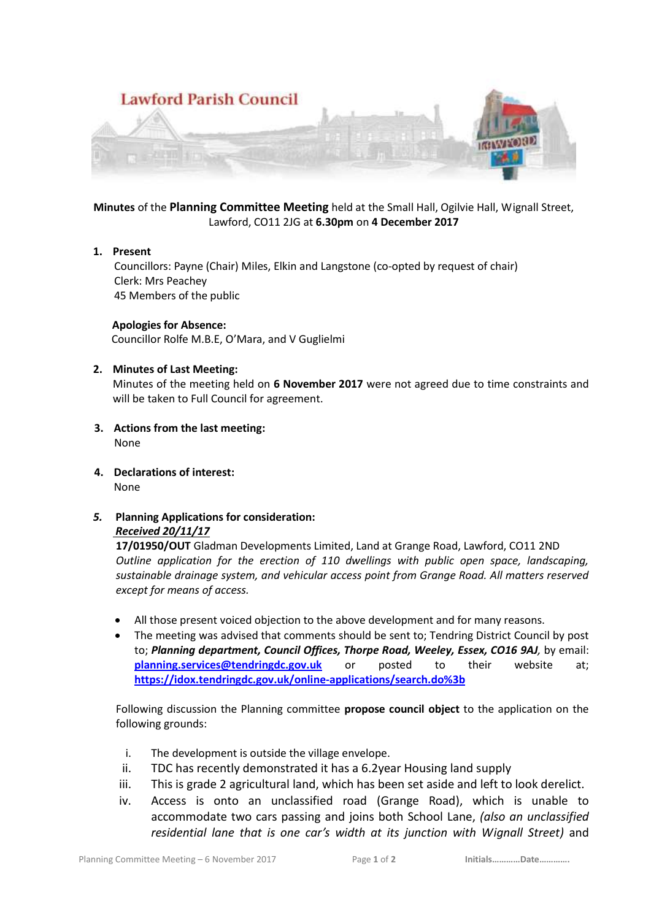

**Minutes** of the **Planning Committee Meeting** held at the Small Hall, Ogilvie Hall, Wignall Street, Lawford, CO11 2JG at **6.30pm** on **4 December 2017**

# **1. Present**

 Councillors: Payne (Chair) Miles, Elkin and Langstone (co-opted by request of chair) Clerk: Mrs Peachey 45 Members of the public

# **Apologies for Absence:**

Councillor Rolfe M.B.E, O'Mara, and V Guglielmi

# **2. Minutes of Last Meeting:**

Minutes of the meeting held on **6 November 2017** were not agreed due to time constraints and will be taken to Full Council for agreement.

- **3. Actions from the last meeting:** None
- **4. Declarations of interest:** None
- *5.* **Planning Applications for consideration:** *Received 20/11/17*

**17/01950/OUT** Gladman Developments Limited, Land at Grange Road, Lawford, CO11 2ND *Outline application for the erection of 110 dwellings with public open space, landscaping, sustainable drainage system, and vehicular access point from Grange Road. All matters reserved except for means of access.*

- All those present voiced objection to the above development and for many reasons.
- The meeting was advised that comments should be sent to; Tendring District Council by post to; *Planning department, Council Offices, Thorpe Road, Weeley, Essex, CO16 9AJ,* by email: **[planning.services@tendringdc.gov.uk](mailto:planning.services@tendringdc.gov.uk)** or posted to their website at; **<https://idox.tendringdc.gov.uk/online-applications/search.do%3b>**

Following discussion the Planning committee **propose council object** to the application on the following grounds:

- i. The development is outside the village envelope.
- ii. TDC has recently demonstrated it has a 6.2year Housing land supply
- iii. This is grade 2 agricultural land, which has been set aside and left to look derelict.
- iv. Access is onto an unclassified road (Grange Road), which is unable to accommodate two cars passing and joins both School Lane, *(also an unclassified residential lane that is one car's width at its junction with Wignall Street)* and